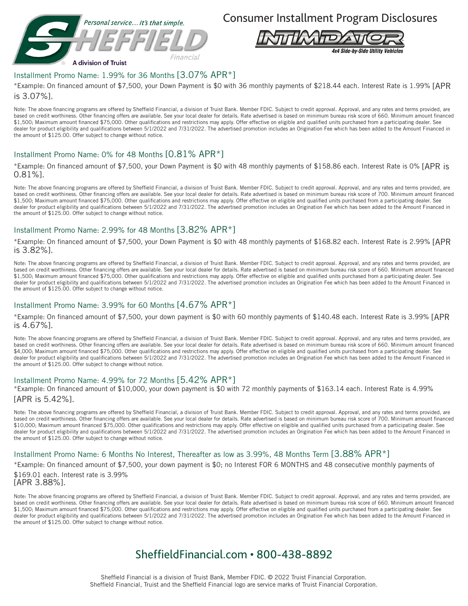

Consumer Installment Program Disclosures



## Installment Promo Name: 1.99% for 36 Months [3.07% APR\*]

\*Example: On financed amount of \$7,500, your Down Payment is \$0 with 36 monthly payments of \$218.44 each. Interest Rate is 1.99% [APR is 3.07%].

Note: The above financing programs are offered by Sheffield Financial, a division of Truist Bank. Member FDIC. Subject to credit approval. Approval, and any rates and terms provided, are based on credit worthiness. Other financing offers are available. See your local dealer for details. Rate advertised is based on minimum bureau risk score of 660. Minimum amount financed \$1,500; Maximum amount financed \$75,000. Other qualifications and restrictions may apply. Offer effective on eligible and qualified units purchased from a participating dealer. See dealer for product eligibility and qualifications between 5/1/2022 and 7/31/2022. The advertised promotion includes an Origination Fee which has been added to the Amount Financed in the amount of \$125.00. Offer subject to change without notice.

### Installment Promo Name: 0% for 48 Months [0.81% APR\*]

\*Example: On financed amount of \$7,500, your Down Payment is \$0 with 48 monthly payments of \$158.86 each. Interest Rate is 0% [APR is 0.81%].

Note: The above financing programs are offered by Sheffield Financial, a division of Truist Bank. Member FDIC. Subject to credit approval. Approval, and any rates and terms provided, are based on credit worthiness. Other financing offers are available. See your local dealer for details. Rate advertised is based on minimum bureau risk score of 700. Minimum amount financed \$1,500; Maximum amount financed \$75,000. Other qualifications and restrictions may apply. Offer effective on eligible and qualified units purchased from a participating dealer. See dealer for product eligibility and qualifications between 5/1/2022 and 7/31/2022. The advertised promotion includes an Origination Fee which has been added to the Amount Financed in the amount of \$125.00. Offer subject to change without notice.

## Installment Promo Name: 2.99% for 48 Months [3.82% APR\*]

\*Example: On financed amount of \$7,500, your Down Payment is \$0 with 48 monthly payments of \$168.82 each. Interest Rate is 2.99% [APR is 3.82%].

Note: The above financing programs are offered by Sheffield Financial, a division of Truist Bank. Member FDIC. Subject to credit approval. Approval, and any rates and terms provided, are based on credit worthiness. Other financing offers are available. See your local dealer for details. Rate advertised is based on minimum bureau risk score of 660. Minimum amount financed \$1,500; Maximum amount financed \$75,000. Other qualifications and restrictions may apply. Offer effective on eligible and qualified units purchased from a participating dealer. See dealer for product eligibility and qualifications between 5/1/2022 and 7/31/2022. The advertised promotion includes an Origination Fee which has been added to the Amount Financed in the amount of \$125.00. Offer subject to change without notice.

### Installment Promo Name: 3.99% for 60 Months [4.67% APR\*]

\*Example: On financed amount of \$7,500, your down payment is \$0 with 60 monthly payments of \$140.48 each. Interest Rate is 3.99% [APR is 4.67%].

Note: The above financing programs are offered by Sheffield Financial, a division of Truist Bank. Member FDIC. Subject to credit approval. Approval, and any rates and terms provided, are based on credit worthiness. Other financing offers are available. See your local dealer for details. Rate advertised is based on minimum bureau risk score of 660. Minimum amount financed \$4,000; Maximum amount financed \$75,000. Other qualifications and restrictions may apply. Offer effective on eligible and qualified units purchased from a participating dealer. See dealer for product eligibility and qualifications between 5/1/2022 and 7/31/2022. The advertised promotion includes an Origination Fee which has been added to the Amount Financed in the amount of \$125.00. Offer subject to change without notice.

### Installment Promo Name: 4.99% for 72 Months [5.42% APR\*]

\*Example: On financed amount of \$10,000, your down payment is \$0 with 72 monthly payments of \$163.14 each. Interest Rate is 4.99% [APR is 5.42%].

Note: The above financing programs are offered by Sheffield Financial, a division of Truist Bank. Member FDIC. Subject to credit approval. Approval, and any rates and terms provided, are based on credit worthiness. Other financing offers are available. See your local dealer for details. Rate advertised is based on minimum bureau risk score of 700. Minimum amount financed \$10,000; Maximum amount financed \$75,000. Other qualifications and restrictions may apply. Offer effective on eligible and qualified units purchased from a participating dealer. See dealer for product eligibility and qualifications between 5/1/2022 and 7/31/2022. The advertised promotion includes an Origination Fee which has been added to the Amount Financed in the amount of \$125.00. Offer subject to change without notice.

### Installment Promo Name: 6 Months No Interest, Thereafter as low as 3.99%, 48 Months Term [3.88% APR\*]

\*Example: On financed amount of \$7,500, your down payment is \$0; no Interest FOR 6 MONTHS and 48 consecutive monthly payments of

\$169.01 each. Interest rate is 3.99% [APR 3.88%].

Note: The above financing programs are offered by Sheffield Financial, a division of Truist Bank. Member FDIC. Subject to credit approval. Approval, and any rates and terms provided, are based on credit worthiness. Other financing offers are available. See your local dealer for details. Rate advertised is based on minimum bureau risk score of 660. Minimum amount financed \$1,500; Maximum amount financed \$75,000. Other qualifications and restrictions may apply. Offer effective on eligible and qualified units purchased from a participating dealer. See dealer for product eligibility and qualifications between 5/1/2022 and 7/31/2022. The advertised promotion includes an Origination Fee which has been added to the Amount Financed in the amount of \$125.00. Offer subject to change without notice.

## SheffieldFinancial.com • 800-438-8892